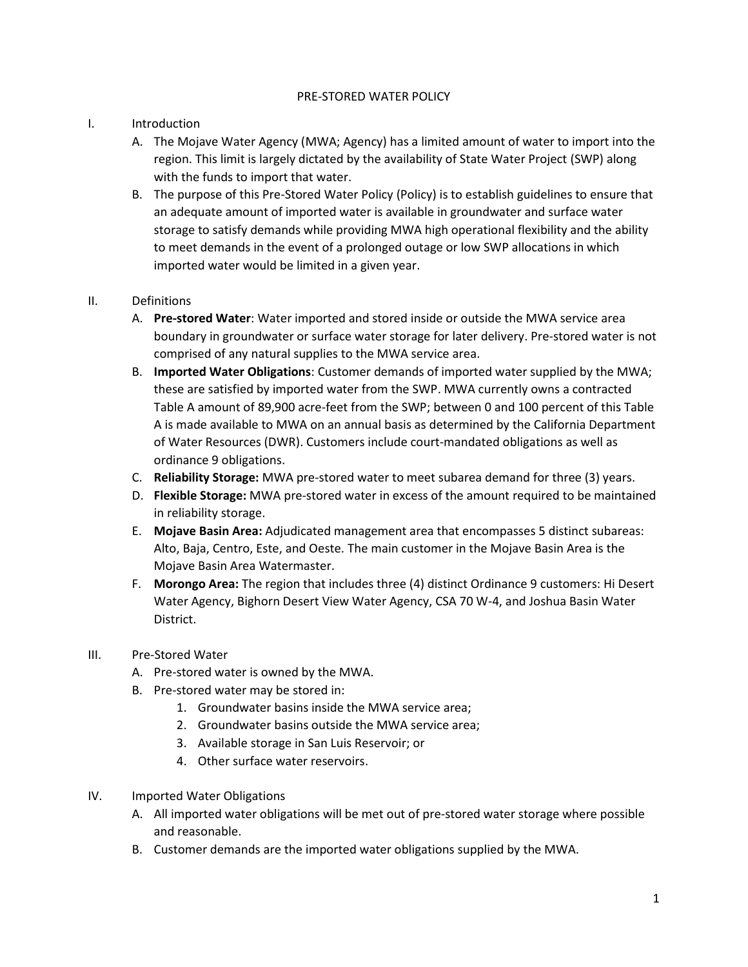## PRE-STORED WATER POLICY

## I. Introduction

- A. The Mojave Water Agency (MWA; Agency) has a limited amount of water to import into the region. This limit is largely dictated by the availability of State Water Project (SWP) along with the funds to import that water.
- B. The purpose of this Pre-Stored Water Policy (Policy) is to establish guidelines to ensure that an adequate amount of imported water is available in groundwater and surface water storage to satisfy demands while providing MWA high operational flexibility and the ability to meet demands in the event of a prolonged outage or low SWP allocations in which imported water would be limited in a given year.

## II. Definitions

- A. **Pre-stored Water**: Water imported and stored inside or outside the MWA service area boundary in groundwater or surface water storage for later delivery. Pre-stored water is not comprised of any natural supplies to the MWA service area.
- B. **Imported Water Obligations**: Customer demands of imported water supplied by the MWA; these are satisfied by imported water from the SWP. MWA currently owns a contracted Table A amount of 89,900 acre-feet from the SWP; between 0 and 100 percent of this Table A is made available to MWA on an annual basis as determined by the California Department of Water Resources (DWR). Customers include court-mandated obligations as well as ordinance 9 obligations.
- C. **Reliability Storage:** MWA pre-stored water to meet subarea demand for three (3) years.
- D. **Flexible Storage:** MWA pre-stored water in excess of the amount required to be maintained in reliability storage.
- E. **Mojave Basin Area:** Adjudicated management area that encompasses 5 distinct subareas: Alto, Baja, Centro, Este, and Oeste. The main customer in the Mojave Basin Area is the Mojave Basin Area Watermaster.
- F. **Morongo Area:** The region that includes three (4) distinct Ordinance 9 customers: Hi Desert Water Agency, Bighorn Desert View Water Agency, CSA 70 W-4, and Joshua Basin Water District.
- III. Pre-Stored Water
	- A. Pre-stored water is owned by the MWA.
	- B. Pre-stored water may be stored in:
		- 1. Groundwater basins inside the MWA service area;
		- 2. Groundwater basins outside the MWA service area;
		- 3. Available storage in San Luis Reservoir; or
		- 4. Other surface water reservoirs.
- IV. Imported Water Obligations
	- A. All imported water obligations will be met out of pre-stored water storage where possible and reasonable.
	- B. Customer demands are the imported water obligations supplied by the MWA.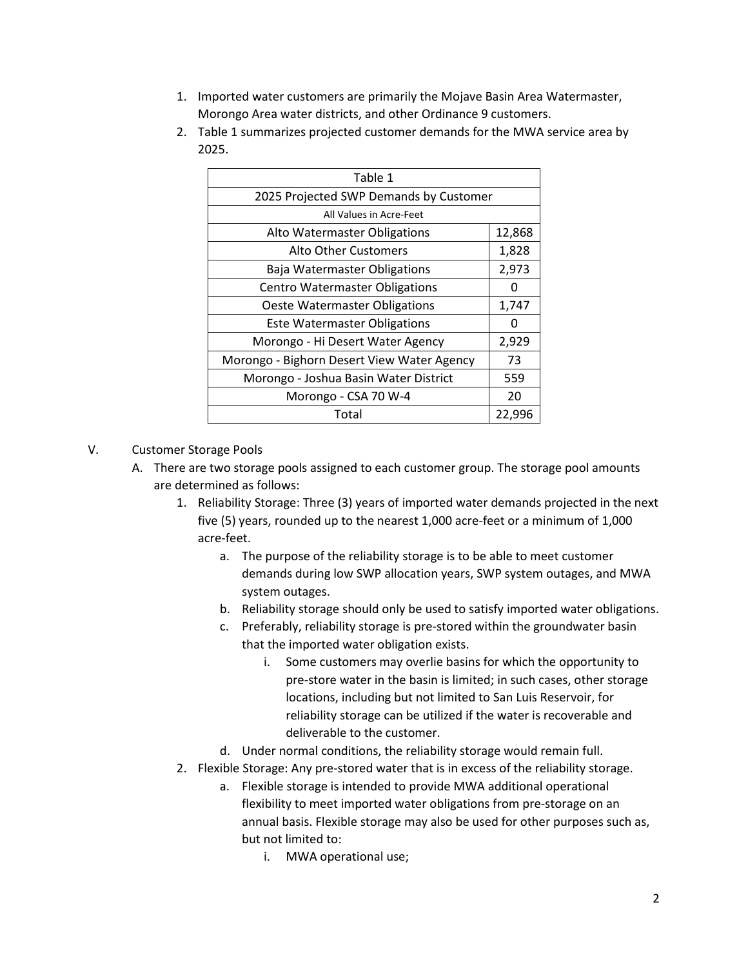- 1. Imported water customers are primarily the Mojave Basin Area Watermaster, Morongo Area water districts, and other Ordinance 9 customers.
- 2. Table 1 summarizes projected customer demands for the MWA service area by 2025.

| Table 1                                    |        |  |  |  |  |
|--------------------------------------------|--------|--|--|--|--|
| 2025 Projected SWP Demands by Customer     |        |  |  |  |  |
| All Values in Acre-Feet                    |        |  |  |  |  |
| Alto Watermaster Obligations               |        |  |  |  |  |
| <b>Alto Other Customers</b>                | 1,828  |  |  |  |  |
| Baja Watermaster Obligations               | 2,973  |  |  |  |  |
| <b>Centro Watermaster Obligations</b>      | O      |  |  |  |  |
| Oeste Watermaster Obligations              |        |  |  |  |  |
| <b>Este Watermaster Obligations</b>        | 0      |  |  |  |  |
| Morongo - Hi Desert Water Agency           | 2,929  |  |  |  |  |
| Morongo - Bighorn Desert View Water Agency | 73     |  |  |  |  |
| Morongo - Joshua Basin Water District      | 559    |  |  |  |  |
| Morongo - CSA 70 W-4                       | 20     |  |  |  |  |
| Total                                      | 22,996 |  |  |  |  |
|                                            |        |  |  |  |  |

## V. Customer Storage Pools

- A. There are two storage pools assigned to each customer group. The storage pool amounts are determined as follows:
	- 1. Reliability Storage: Three (3) years of imported water demands projected in the next five (5) years, rounded up to the nearest 1,000 acre-feet or a minimum of 1,000 acre-feet.
		- a. The purpose of the reliability storage is to be able to meet customer demands during low SWP allocation years, SWP system outages, and MWA system outages.
		- b. Reliability storage should only be used to satisfy imported water obligations.
		- c. Preferably, reliability storage is pre-stored within the groundwater basin that the imported water obligation exists.
			- i. Some customers may overlie basins for which the opportunity to pre-store water in the basin is limited; in such cases, other storage locations, including but not limited to San Luis Reservoir, for reliability storage can be utilized if the water is recoverable and deliverable to the customer.
		- d. Under normal conditions, the reliability storage would remain full.
	- 2. Flexible Storage: Any pre-stored water that is in excess of the reliability storage.
		- a. Flexible storage is intended to provide MWA additional operational flexibility to meet imported water obligations from pre-storage on an annual basis. Flexible storage may also be used for other purposes such as, but not limited to:
			- i. MWA operational use;